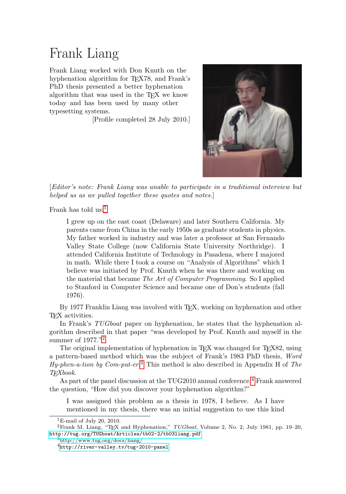## Frank Liang

Frank Liang worked with Don Knuth on the hyphenation algorithm for T<sub>EX78</sub>, and Frank's PhD thesis presented a better hyphenation algorithm that was used in the TEX we know today and has been used by many other typesetting systems.

[Profile completed 28 July 2010.]



[Editor's note: Frank Liang was unable to participate in a traditional interview but helped us as we pulled together these quotes and notes.

Frank has told  $us:$ <sup>[1](#page-0-0)</sup>

I grew up on the east coast (Delaware) and later Southern California. My parents came from China in the early 1950s as graduate students in physics. My father worked in industry and was later a professor at San Fernando Valley State College (now California State University Northridge). I attended California Institute of Technology in Pasadena, where I majored in math. While there I took a course on "Analysis of Algorithms" which I believe was initiated by Prof. Knuth when he was there and working on the material that became The Art of Computer Programming. So I applied to Stanford in Computer Science and became one of Don's students (fall 1976).

By 1977 Franklin Liang was involved with TEX, working on hyphenation and other TEX activities.

In Frank's TUGboat paper on hyphenation, he states that the hyphenation algorithm described in that paper "was developed by Prof. Knuth and myself in the summer of 1977."<sup>[2](#page-0-1)</sup>

The original implementation of hyphenation in TEX was changed for TEX82, using a pattern-based method which was the subject of Frank's 1983 PhD thesis, Word  $Hy$ -phen-a-tion by Com-put-er.<sup>[3](#page-0-2)</sup> This method is also described in Appendix H of The TEXbook.

As part of the panel discussion at the TUG2010 annual conference, [4](#page-0-3) Frank answered the question, "How did you discover your hyphenation algorithm?"

I was assigned this problem as a thesis in 1978, I believe. As I have mentioned in my thesis, there was an initial suggestion to use this kind

<span id="page-0-1"></span><span id="page-0-0"></span> $1$ E-mail of July 20, 2010.

<sup>&</sup>lt;sup>2</sup>Frank M. Liang, "TEX and Hyphenation,"  $TUGboat$ , Volume 2, No. 2, July 1981, pp. 19–20, <http://tug.org/TUGboat/Articles/tb02-2/tb03liang.pdf>

<span id="page-0-2"></span><sup>3</sup>http://www.tug.org/docs/liang/

<span id="page-0-3"></span><sup>4</sup><http://river-valley.tv/tug-2010-panel>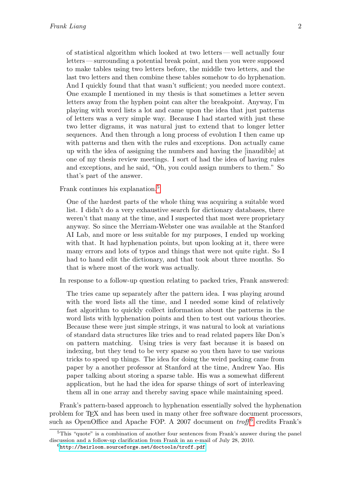of statistical algorithm which looked at two letters—well actually four letters — surrounding a potential break point, and then you were supposed to make tables using two letters before, the middle two letters, and the last two letters and then combine these tables somehow to do hyphenation. And I quickly found that that wasn't sufficient; you needed more context. One example I mentioned in my thesis is that sometimes a letter seven letters away from the hyphen point can alter the breakpoint. Anyway, I'm playing with word lists a lot and came upon the idea that just patterns of letters was a very simple way. Because I had started with just these two letter digrams, it was natural just to extend that to longer letter sequences. And then through a long process of evolution I then came up with patterns and then with the rules and exceptions. Don actually came up with the idea of assigning the numbers and having the [inaudible] at one of my thesis review meetings. I sort of had the idea of having rules and exceptions, and he said, "Oh, you could assign numbers to them." So that's part of the answer.

Frank continues his explanation.<sup>[5](#page-1-0)</sup>

One of the hardest parts of the whole thing was acquiring a suitable word list. I didn't do a very exhaustive search for dictionary databases, there weren't that many at the time, and I suspected that most were proprietary anyway. So since the Merriam-Webster one was available at the Stanford AI Lab, and more or less suitable for my purposes, I ended up working with that. It had hyphenation points, but upon looking at it, there were many errors and lots of typos and things that were not quite right. So I had to hand edit the dictionary, and that took about three months. So that is where most of the work was actually.

In response to a follow-up question relating to packed tries, Frank answered:

The tries came up separately after the pattern idea. I was playing around with the word lists all the time, and I needed some kind of relatively fast algorithm to quickly collect information about the patterns in the word lists with hyphenation points and then to test out various theories. Because these were just simple strings, it was natural to look at variations of standard data structures like tries and to read related papers like Don's on pattern matching. Using tries is very fast because it is based on indexing, but they tend to be very sparse so you then have to use various tricks to speed up things. The idea for doing the weird packing came from paper by a another professor at Stanford at the time, Andrew Yao. His paper talking about storing a sparse table. His was a somewhat different application, but he had the idea for sparse things of sort of interleaving them all in one array and thereby saving space while maintaining speed.

Frank's pattern-based approach to hyphenation essentially solved the hyphenation problem for TEX and has been used in many other free software document processors, such as OpenOffice and Apache FOP. A 2007 document on  $\text{troff}^6$  $\text{troff}^6$  credits Frank's

<span id="page-1-0"></span> $5$ This "quote" is a combination of another four sentences from Frank's answer during the panel discussion and a follow-up clarification from Frank in an e-mail of July 28, 2010.

<span id="page-1-1"></span><sup>6</sup><http://heirloom.sourceforge.net/doctools/troff.pdf>